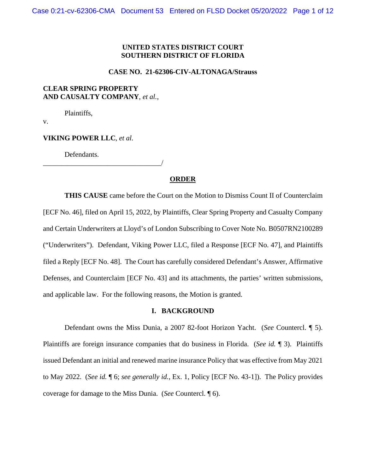## **UNITED STATES DISTRICT COURT SOUTHERN DISTRICT OF FLORIDA**

#### **CASE NO. 21-62306-CIV-ALTONAGA/Strauss**

### **CLEAR SPRING PROPERTY AND CAUSALTY COMPANY**, *et al.*,

Plaintiffs,

v.

### **VIKING POWER LLC**, *et al.*

Defendants.

## \_\_\_\_\_\_\_\_\_\_\_\_\_\_\_\_\_\_\_\_\_\_\_\_\_\_\_\_\_\_\_\_\_/

## **ORDER**

**THIS CAUSE** came before the Court on the Motion to Dismiss Count II of Counterclaim [ECF No. 46], filed on April 15, 2022, by Plaintiffs, Clear Spring Property and Casualty Company and Certain Underwriters at Lloyd's of London Subscribing to Cover Note No. B0507RN2100289 ("Underwriters"). Defendant, Viking Power LLC, filed a Response [ECF No. 47], and Plaintiffs filed a Reply [ECF No. 48]. The Court has carefully considered Defendant's Answer, Affirmative Defenses, and Counterclaim [ECF No. 43] and its attachments, the parties' written submissions, and applicable law. For the following reasons, the Motion is granted.

### **I. BACKGROUND**

Defendant owns the Miss Dunia, a 2007 82-foot Horizon Yacht. (*See* Countercl. ¶ 5). Plaintiffs are foreign insurance companies that do business in Florida. (*See id.* ¶ 3). Plaintiffs issued Defendant an initial and renewed marine insurance Policy that was effective from May 2021 to May 2022. (*See id.* ¶ 6; *see generally id.*, Ex. 1, Policy [ECF No. 43-1]). The Policy provides coverage for damage to the Miss Dunia. (*See* Countercl. ¶ 6).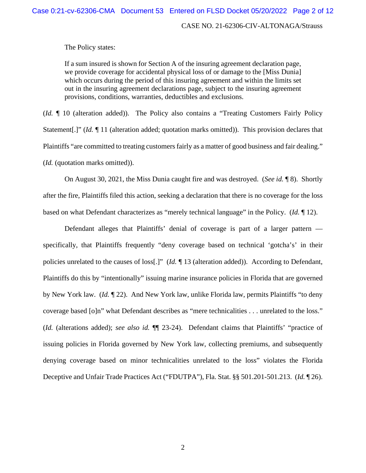### CASE NO. 21-62306-CIV-ALTONAGA/Strauss

The Policy states:

If a sum insured is shown for Section A of the insuring agreement declaration page, we provide coverage for accidental physical loss of or damage to the [Miss Dunia] which occurs during the period of this insuring agreement and within the limits set out in the insuring agreement declarations page, subject to the insuring agreement provisions, conditions, warranties, deductibles and exclusions.

(*Id.* ¶ 10 (alteration added)). The Policy also contains a "Treating Customers Fairly Policy Statement<sup>[1]</sup>" (*Id.* 11 (alteration added; quotation marks omitted)). This provision declares that Plaintiffs "are committed to treating customers fairly as a matter of good business and fair dealing." (*Id.* (quotation marks omitted)).

On August 30, 2021, the Miss Dunia caught fire and was destroyed. (*See id.* ¶ 8). Shortly after the fire, Plaintiffs filed this action, seeking a declaration that there is no coverage for the loss based on what Defendant characterizes as "merely technical language" in the Policy. (*Id.* ¶ 12).

Defendant alleges that Plaintiffs' denial of coverage is part of a larger pattern specifically, that Plaintiffs frequently "deny coverage based on technical 'gotcha's' in their policies unrelated to the causes of loss[.]" (*Id.* ¶ 13 (alteration added)). According to Defendant, Plaintiffs do this by "intentionally" issuing marine insurance policies in Florida that are governed by New York law. (*Id.* ¶ 22). And New York law, unlike Florida law, permits Plaintiffs "to deny coverage based [o]n" what Defendant describes as "mere technicalities . . . unrelated to the loss." (*Id.* (alterations added); *see also id.* ¶¶ 23-24). Defendant claims that Plaintiffs' "practice of issuing policies in Florida governed by New York law, collecting premiums, and subsequently denying coverage based on minor technicalities unrelated to the loss" violates the Florida Deceptive and Unfair Trade Practices Act ("FDUTPA"), Fla. Stat. §§ 501.201-501.213. (*Id.* ¶ 26).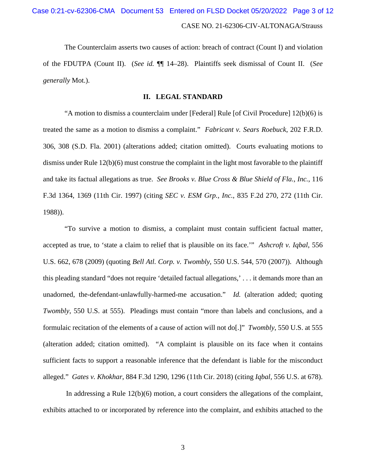# CASE NO. 21-62306-CIV-ALTONAGA/Strauss Case 0:21-cv-62306-CMA Document 53 Entered on FLSD Docket 05/20/2022 Page 3 of 12

The Counterclaim asserts two causes of action: breach of contract (Count I) and violation of the FDUTPA (Count II). (*See id.* ¶¶ 14–28). Plaintiffs seek dismissal of Count II. (*See generally* Mot.).

### **II. LEGAL STANDARD**

"A motion to dismiss a counterclaim under [Federal] Rule [of Civil Procedure] 12(b)(6) is treated the same as a motion to dismiss a complaint." *Fabricant v. Sears Roebuck*, 202 F.R.D. 306, 308 (S.D. Fla. 2001) (alterations added; citation omitted). Courts evaluating motions to dismiss under Rule 12(b)(6) must construe the complaint in the light most favorable to the plaintiff and take its factual allegations as true. *See Brooks v. Blue Cross & Blue Shield of Fla., Inc.*, 116 F.3d 1364, 1369 (11th Cir. 1997) (citing *SEC v. ESM Grp., Inc.*, 835 F.2d 270, 272 (11th Cir. 1988)).

"To survive a motion to dismiss, a complaint must contain sufficient factual matter, accepted as true, to 'state a claim to relief that is plausible on its face.'" *Ashcroft v. Iqbal*, 556 U.S. 662, 678 (2009) (quoting *Bell Atl. Corp. v. Twombly*, 550 U.S. 544, 570 (2007)). Although this pleading standard "does not require 'detailed factual allegations,' . . . it demands more than an unadorned, the-defendant-unlawfully-harmed-me accusation." *Id.* (alteration added; quoting *Twombly*, 550 U.S. at 555). Pleadings must contain "more than labels and conclusions, and a formulaic recitation of the elements of a cause of action will not do[.]" *Twombly*, 550 U.S. at 555 (alteration added; citation omitted). "A complaint is plausible on its face when it contains sufficient facts to support a reasonable inference that the defendant is liable for the misconduct alleged." *Gates v. Khokhar*, 884 F.3d 1290, 1296 (11th Cir. 2018) (citing *Iqbal*, 556 U.S. at 678).

In addressing a Rule 12(b)(6) motion, a court considers the allegations of the complaint, exhibits attached to or incorporated by reference into the complaint, and exhibits attached to the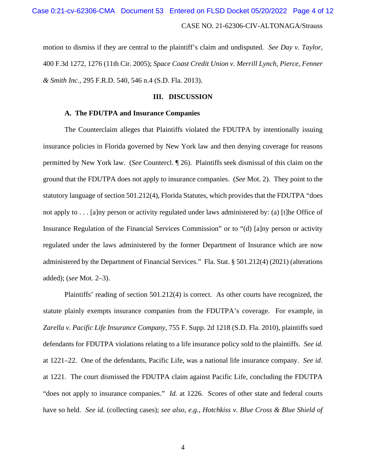## CASE NO. 21-62306-CIV-ALTONAGA/Strauss Case 0:21-cv-62306-CMA Document 53 Entered on FLSD Docket 05/20/2022 Page 4 of 12

motion to dismiss if they are central to the plaintiff's claim and undisputed. *See Day v. Taylor*, 400 F.3d 1272, 1276 (11th Cir. 2005); *Space Coast Credit Union v. Merrill Lynch, Pierce, Fenner & Smith Inc.*, 295 F.R.D. 540, 546 n.4 (S.D. Fla. 2013).

### **III. DISCUSSION**

## **A. The FDUTPA and Insurance Companies**

The Counterclaim alleges that Plaintiffs violated the FDUTPA by intentionally issuing insurance policies in Florida governed by New York law and then denying coverage for reasons permitted by New York law. (*See* Countercl. ¶ 26). Plaintiffs seek dismissal of this claim on the ground that the FDUTPA does not apply to insurance companies. (*See* Mot. 2). They point to the statutory language of section 501.212(4), Florida Statutes, which provides that the FDUTPA "does not apply to . . . [a]ny person or activity regulated under laws administered by: (a) [t]he Office of Insurance Regulation of the Financial Services Commission" or to "(d) [a]ny person or activity regulated under the laws administered by the former Department of Insurance which are now administered by the Department of Financial Services." Fla. Stat. § 501.212(4) (2021) (alterations added); (*see* Mot. 2–3).

Plaintiffs' reading of section 501.212(4) is correct. As other courts have recognized, the statute plainly exempts insurance companies from the FDUTPA's coverage. For example, in *Zarella v. Pacific Life Insurance Company*, 755 F. Supp. 2d 1218 (S.D. Fla. 2010), plaintiffs sued defendants for FDUTPA violations relating to a life insurance policy sold to the plaintiffs. *See id.* at 1221–22. One of the defendants, Pacific Life, was a national life insurance company. *See id.* at 1221. The court dismissed the FDUTPA claim against Pacific Life, concluding the FDUTPA "does not apply to insurance companies." *Id.* at 1226. Scores of other state and federal courts have so held. *See id.* (collecting cases); *see also, e.g.*, *Hotchkiss v. Blue Cross & Blue Shield of*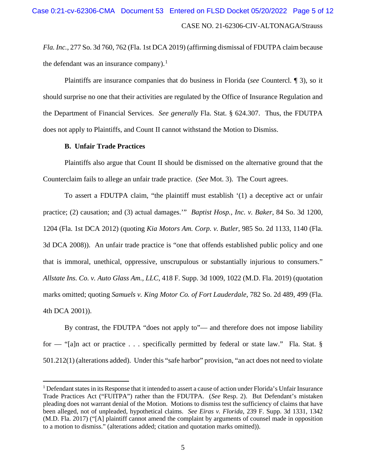*Fla. Inc.*, 277 So. 3d 760, 762 (Fla. 1st DCA 2019) (affirming dismissal of FDUTPA claim because the defendant was an insurance company).<sup>1</sup>

Plaintiffs are insurance companies that do business in Florida (*see* Countercl. ¶ 3), so it should surprise no one that their activities are regulated by the Office of Insurance Regulation and the Department of Financial Services. *See generally* Fla. Stat. § 624.307. Thus, the FDUTPA does not apply to Plaintiffs, and Count II cannot withstand the Motion to Dismiss.

## **B. Unfair Trade Practices**

Plaintiffs also argue that Count II should be dismissed on the alternative ground that the Counterclaim fails to allege an unfair trade practice. (*See* Mot. 3). The Court agrees.

To assert a FDUTPA claim, "the plaintiff must establish '(1) a deceptive act or unfair practice; (2) causation; and (3) actual damages.'" *Baptist Hosp., Inc. v. Baker*, 84 So. 3d 1200, 1204 (Fla. 1st DCA 2012) (quoting *Kia Motors Am. Corp. v. Butler*, 985 So. 2d 1133, 1140 (Fla. 3d DCA 2008)). An unfair trade practice is "one that offends established public policy and one that is immoral, unethical, oppressive, unscrupulous or substantially injurious to consumers." *Allstate Ins. Co. v. Auto Glass Am., LLC*, 418 F. Supp. 3d 1009, 1022 (M.D. Fla. 2019) (quotation marks omitted; quoting *Samuels v. King Motor Co. of Fort Lauderdale*, 782 So. 2d 489, 499 (Fla. 4th DCA 2001)).

By contrast, the FDUTPA "does not apply to"— and therefore does not impose liability for — "[a]n act or practice . . . specifically permitted by federal or state law." Fla. Stat. § 501.212(1) (alterations added). Under this "safe harbor" provision, "an act does not need to violate

<sup>&</sup>lt;sup>1</sup> Defendant states in its Response that it intended to assert a cause of action under Florida's Unfair Insurance Trade Practices Act ("FUITPA") rather than the FDUTPA. (*See* Resp. 2). But Defendant's mistaken pleading does not warrant denial of the Motion. Motions to dismiss test the sufficiency of claims that have been alleged, not of unpleaded, hypothetical claims. *See Eiras v. Florida*, 239 F. Supp. 3d 1331, 1342 (M.D. Fla. 2017) ("[A] plaintiff cannot amend the complaint by arguments of counsel made in opposition to a motion to dismiss." (alterations added; citation and quotation marks omitted)).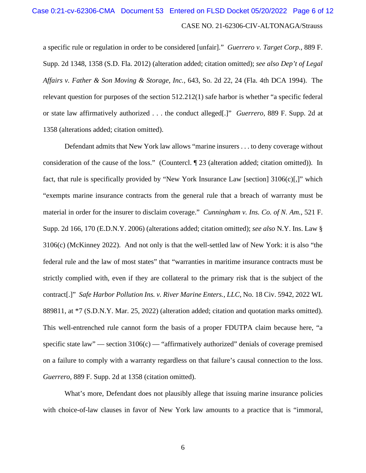# CASE NO. 21-62306-CIV-ALTONAGA/Strauss Case 0:21-cv-62306-CMA Document 53 Entered on FLSD Docket 05/20/2022 Page 6 of 12

a specific rule or regulation in order to be considered [unfair]." *Guerrero v. Target Corp.*, 889 F. Supp. 2d 1348, 1358 (S.D. Fla. 2012) (alteration added; citation omitted); *see also Dep't of Legal Affairs v. Father & Son Moving & Storage, Inc.*, 643, So. 2d 22, 24 (Fla. 4th DCA 1994). The relevant question for purposes of the section 512.212(1) safe harbor is whether "a specific federal or state law affirmatively authorized . . . the conduct alleged[.]" *Guerrero*, 889 F. Supp. 2d at 1358 (alterations added; citation omitted).

Defendant admits that New York law allows "marine insurers . . . to deny coverage without consideration of the cause of the loss." (Countercl. ¶ 23 (alteration added; citation omitted)). In fact, that rule is specifically provided by "New York Insurance Law [section] 3106(c)[,]" which "exempts marine insurance contracts from the general rule that a breach of warranty must be material in order for the insurer to disclaim coverage." *Cunningham v. Ins. Co. of N. Am.*, 521 F. Supp. 2d 166, 170 (E.D.N.Y. 2006) (alterations added; citation omitted); *see also* N.Y. Ins. Law § 3106(c) (McKinney 2022). And not only is that the well-settled law of New York: it is also "the federal rule and the law of most states" that "warranties in maritime insurance contracts must be strictly complied with, even if they are collateral to the primary risk that is the subject of the contract[.]" *Safe Harbor Pollution Ins. v. River Marine Enters., LLC*, No. 18 Civ. 5942, 2022 WL 889811, at \*7 (S.D.N.Y. Mar. 25, 2022) (alteration added; citation and quotation marks omitted). This well-entrenched rule cannot form the basis of a proper FDUTPA claim because here, "a specific state law" — section  $3106(c)$  — "affirmatively authorized" denials of coverage premised on a failure to comply with a warranty regardless on that failure's causal connection to the loss. *Guerrero*, 889 F. Supp. 2d at 1358 (citation omitted).

What's more, Defendant does not plausibly allege that issuing marine insurance policies with choice-of-law clauses in favor of New York law amounts to a practice that is "immoral,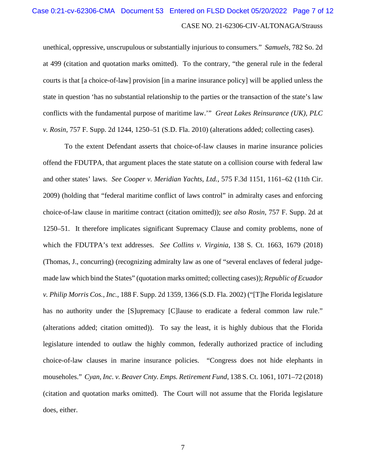# CASE NO. 21-62306-CIV-ALTONAGA/Strauss Case 0:21-cv-62306-CMA Document 53 Entered on FLSD Docket 05/20/2022 Page 7 of 12

unethical, oppressive, unscrupulous or substantially injurious to consumers." *Samuels*, 782 So. 2d at 499 (citation and quotation marks omitted). To the contrary, "the general rule in the federal courts is that [a choice-of-law] provision [in a marine insurance policy] will be applied unless the state in question 'has no substantial relationship to the parties or the transaction of the state's law conflicts with the fundamental purpose of maritime law.'" *Great Lakes Reinsurance (UK), PLC v. Rosin*, 757 F. Supp. 2d 1244, 1250–51 (S.D. Fla. 2010) (alterations added; collecting cases).

To the extent Defendant asserts that choice-of-law clauses in marine insurance policies offend the FDUTPA, that argument places the state statute on a collision course with federal law and other states' laws. *See Cooper v. Meridian Yachts, Ltd.*, 575 F.3d 1151, 1161–62 (11th Cir. 2009) (holding that "federal maritime conflict of laws control" in admiralty cases and enforcing choice-of-law clause in maritime contract (citation omitted)); *see also Rosin*, 757 F. Supp. 2d at 1250–51. It therefore implicates significant Supremacy Clause and comity problems, none of which the FDUTPA's text addresses. *See Collins v. Virginia*, 138 S. Ct. 1663, 1679 (2018) (Thomas, J., concurring) (recognizing admiralty law as one of "several enclaves of federal judgemade law which bind the States" (quotation marks omitted; collecting cases)); *Republic of Ecuador v. Philip Morris Cos., Inc.*, 188 F. Supp. 2d 1359, 1366 (S.D. Fla. 2002) ("[T]he Florida legislature has no authority under the [S]upremacy [C] lause to eradicate a federal common law rule." (alterations added; citation omitted)). To say the least, it is highly dubious that the Florida legislature intended to outlaw the highly common, federally authorized practice of including choice-of-law clauses in marine insurance policies. "Congress does not hide elephants in mouseholes." *Cyan, Inc. v. Beaver Cnty. Emps. Retirement Fund*, 138 S. Ct. 1061, 1071–72 (2018) (citation and quotation marks omitted). The Court will not assume that the Florida legislature does, either.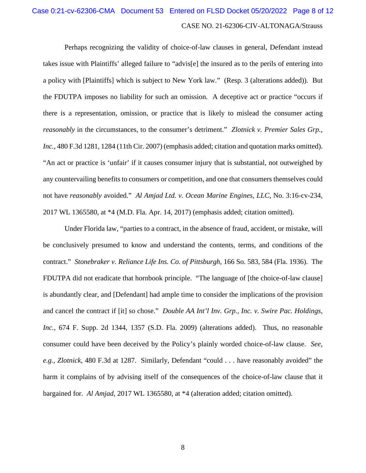# CASE NO. 21-62306-CIV-ALTONAGA/Strauss Case 0:21-cv-62306-CMA Document 53 Entered on FLSD Docket 05/20/2022 Page 8 of 12

Perhaps recognizing the validity of choice-of-law clauses in general, Defendant instead takes issue with Plaintiffs' alleged failure to "advis[e] the insured as to the perils of entering into a policy with [Plaintiffs] which is subject to New York law." (Resp. 3 (alterations added)). But the FDUTPA imposes no liability for such an omission. A deceptive act or practice "occurs if there is a representation, omission, or practice that is likely to mislead the consumer acting *reasonably* in the circumstances, to the consumer's detriment." *Zlotnick v. Premier Sales Grp., Inc.*, 480 F.3d 1281, 1284 (11th Cir. 2007) (emphasis added; citation and quotation marks omitted). "An act or practice is 'unfair' if it causes consumer injury that is substantial, not outweighed by any countervailing benefits to consumers or competition, and one that consumers themselves could not have *reasonably* avoided." *Al Amjad Ltd. v. Ocean Marine Engines, LLC*, No. 3:16-cv-234, 2017 WL 1365580, at \*4 (M.D. Fla. Apr. 14, 2017) (emphasis added; citation omitted).

Under Florida law, "parties to a contract, in the absence of fraud, accident, or mistake, will be conclusively presumed to know and understand the contents, terms, and conditions of the contract." *Stonebraker v. Reliance Life Ins. Co. of Pittsburgh*, 166 So. 583, 584 (Fla. 1936). The FDUTPA did not eradicate that hornbook principle. "The language of [the choice-of-law clause] is abundantly clear, and [Defendant] had ample time to consider the implications of the provision and cancel the contract if [it] so chose." *Double AA Int'l Inv. Grp., Inc. v. Swire Pac. Holdings, Inc.*, 674 F. Supp. 2d 1344, 1357 (S.D. Fla. 2009) (alterations added). Thus, no reasonable consumer could have been deceived by the Policy's plainly worded choice-of-law clause. *See, e.g.*, *Zlotnick*, 480 F.3d at 1287. Similarly, Defendant "could . . . have reasonably avoided" the harm it complains of by advising itself of the consequences of the choice-of-law clause that it bargained for. *Al Amjad*, 2017 WL 1365580, at \*4 (alteration added; citation omitted).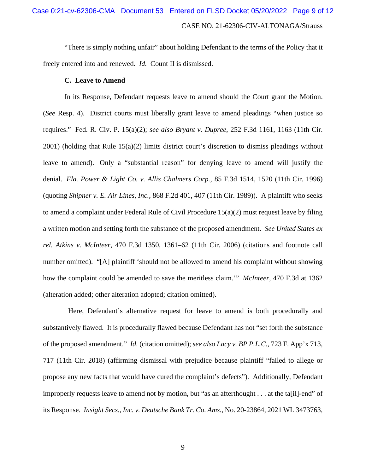"There is simply nothing unfair" about holding Defendant to the terms of the Policy that it freely entered into and renewed. *Id.* Count II is dismissed.

#### **C. Leave to Amend**

In its Response, Defendant requests leave to amend should the Court grant the Motion. (*See* Resp. 4). District courts must liberally grant leave to amend pleadings "when justice so requires." Fed. R. Civ. P. 15(a)(2); *see also Bryant v. Dupree*, 252 F.3d 1161, 1163 (11th Cir. 2001) (holding that Rule 15(a)(2) limits district court's discretion to dismiss pleadings without leave to amend). Only a "substantial reason" for denying leave to amend will justify the denial. *Fla. Power & Light Co. v. Allis Chalmers Corp.*, 85 F.3d 1514, 1520 (11th Cir. 1996) (quoting *Shipner v. E. Air Lines, Inc.*, 868 F.2d 401, 407 (11th Cir. 1989)). A plaintiff who seeks to amend a complaint under Federal Rule of Civil Procedure  $15(a)(2)$  must request leave by filing a written motion and setting forth the substance of the proposed amendment. *See United States ex rel. Atkins v. McInteer*, 470 F.3d 1350, 1361–62 (11th Cir. 2006) (citations and footnote call number omitted). "[A] plaintiff 'should not be allowed to amend his complaint without showing how the complaint could be amended to save the meritless claim.'" *McInteer*, 470 F.3d at 1362 (alteration added; other alteration adopted; citation omitted).

 Here, Defendant's alternative request for leave to amend is both procedurally and substantively flawed. It is procedurally flawed because Defendant has not "set forth the substance of the proposed amendment." *Id.* (citation omitted); *see also Lacy v. BP P.L.C.*, 723 F. App'x 713, 717 (11th Cir. 2018) (affirming dismissal with prejudice because plaintiff "failed to allege or propose any new facts that would have cured the complaint's defects"). Additionally, Defendant improperly requests leave to amend not by motion, but "as an afterthought . . . at the ta[il]-end" of its Response. *Insight Secs., Inc. v. Deutsche Bank Tr. Co. Ams.*, No. 20-23864, 2021 WL 3473763,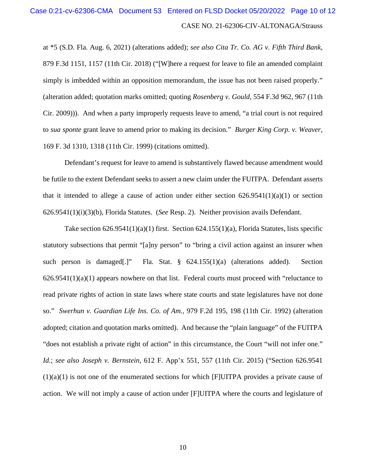## CASE NO. 21-62306-CIV-ALTONAGA/Strauss Case 0:21-cv-62306-CMA Document 53 Entered on FLSD Docket 05/20/2022 Page 10 of 12

at \*5 (S.D. Fla. Aug. 6, 2021) (alterations added); *see also Cita Tr. Co. AG v. Fifth Third Bank*, 879 F.3d 1151, 1157 (11th Cir. 2018) ("[W]here a request for leave to file an amended complaint simply is imbedded within an opposition memorandum, the issue has not been raised properly." (alteration added; quotation marks omitted; quoting *Rosenberg v. Gould*, 554 F.3d 962, 967 (11th Cir. 2009))). And when a party improperly requests leave to amend, "a trial court is not required to *sua sponte* grant leave to amend prior to making its decision." *Burger King Corp. v. Weaver*, 169 F. 3d 1310, 1318 (11th Cir. 1999) (citations omitted).

Defendant's request for leave to amend is substantively flawed because amendment would be futile to the extent Defendant seeks to assert a new claim under the FUITPA. Defendant asserts that it intended to allege a cause of action under either section  $626.9541(1)(a)(1)$  or section 626.9541(1)(i)(3)(b), Florida Statutes. (*See* Resp. 2). Neither provision avails Defendant.

Take section  $626.9541(1)(a)(1)$  first. Section  $624.155(1)(a)$ , Florida Statutes, lists specific statutory subsections that permit "[a]ny person" to "bring a civil action against an insurer when such person is damaged[.]" Fla. Stat. § 624.155(1)(a) (alterations added). Section  $626.9541(1)(a)(1)$  appears nowhere on that list. Federal courts must proceed with "reluctance to read private rights of action in state laws where state courts and state legislatures have not done so." *Swerhun v. Guardian Life Ins. Co. of Am.*, 979 F.2d 195, 198 (11th Cir. 1992) (alteration adopted; citation and quotation marks omitted). And because the "plain language" of the FUITPA "does not establish a private right of action" in this circumstance, the Court "will not infer one." *Id.*; *see also Joseph v. Bernstein*, 612 F. App'x 551, 557 (11th Cir. 2015) ("Section 626.9541  $(1)(a)(1)$  is not one of the enumerated sections for which [F]UITPA provides a private cause of action. We will not imply a cause of action under [F]UITPA where the courts and legislature of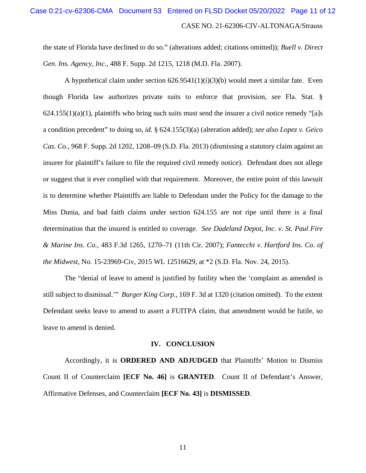# CASE NO. 21-62306-CIV-ALTONAGA/Strauss Case 0:21-cv-62306-CMA Document 53 Entered on FLSD Docket 05/20/2022 Page 11 of 12

the state of Florida have declined to do so." (alterations added; citations omitted)); *Buell v. Direct Gen. Ins. Agency, Inc.*, 488 F. Supp. 2d 1215, 1218 (M.D. Fla. 2007).

A hypothetical claim under section  $626.9541(1)(i)(3)(b)$  would meet a similar fate. Even though Florida law authorizes private suits to enforce that provision, *see* Fla. Stat. §  $624.155(1)(a)(1)$ , plaintiffs who bring such suits must send the insurer a civil notice remedy "[a]s a condition precedent" to doing so, *id.* § 624.155(3)(a) (alteration added); *see also Lopez v. Geico Cas. Co.*, 968 F. Supp. 2d 1202, 1208–09 (S.D. Fla. 2013) (dismissing a statutory claim against an insurer for plaintiff's failure to file the required civil remedy notice). Defendant does not allege or suggest that it ever complied with that requirement. Moreover, the entire point of this lawsuit is to determine whether Plaintiffs are liable to Defendant under the Policy for the damage to the Miss Dunia, and bad faith claims under section 624.155 are not ripe until there is a final determination that the insured is entitled to coverage. *See Dadeland Depot, Inc. v. St. Paul Fire & Marine Ins. Co.*, 483 F.3d 1265, 1270–71 (11th Cir. 2007); *Fantecchi v. Hartford Ins. Co. of the Midwest*, No. 15-23969-Civ, 2015 WL 12516629, at \*2 (S.D. Fla. Nov. 24, 2015).

The "denial of leave to amend is justified by futility when the 'complaint as amended is still subject to dismissal.'" *Burger King Corp.*, 169 F. 3d at 1320 (citation omitted). To the extent Defendant seeks leave to amend to assert a FUITPA claim, that amendment would be futile, so leave to amend is denied.

#### **IV. CONCLUSION**

Accordingly, it is **ORDERED AND ADJUDGED** that Plaintiffs' Motion to Dismiss Count II of Counterclaim **[ECF No. 46]** is **GRANTED**. Count II of Defendant's Answer, Affirmative Defenses, and Counterclaim **[ECF No. 43]** is **DISMISSED**.

11